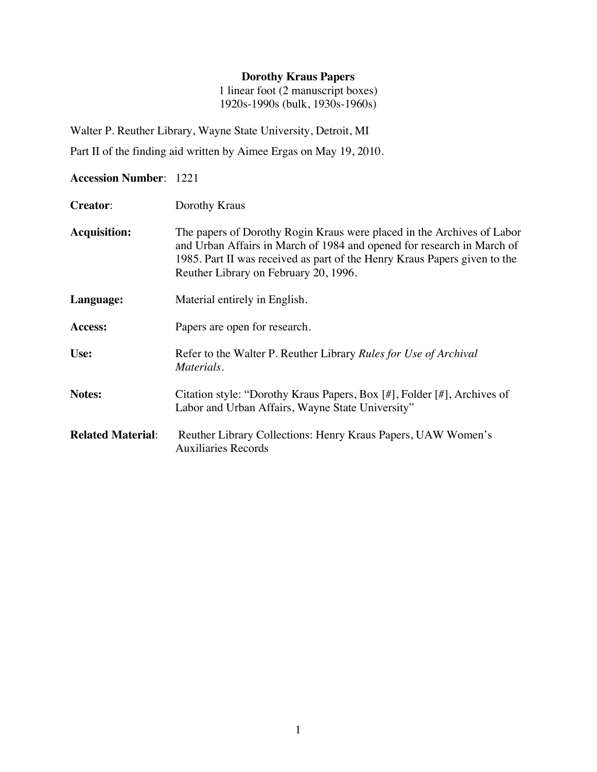### **Dorothy Kraus Papers**

1 linear foot (2 manuscript boxes) 1920s-1990s (bulk, 1930s-1960s)

Walter P. Reuther Library, Wayne State University, Detroit, MI Part II of the finding aid written by Aimee Ergas on May 19, 2010.

#### **Accession Number**: 1221

- **Creator**: Dorothy Kraus
- **Acquisition:** The papers of Dorothy Rogin Kraus were placed in the Archives of Labor and Urban Affairs in March of 1984 and opened for research in March of 1985. Part II was received as part of the Henry Kraus Papers given to the Reuther Library on February 20, 1996.
- **Language:** Material entirely in English.

**Access:** Papers are open for research.

- **Use:** Refer to the Walter P. Reuther Library *Rules for Use of Archival Materials.*
- **Notes:** Citation style: "Dorothy Kraus Papers, Box [#], Folder [#], Archives of Labor and Urban Affairs, Wayne State University"
- **Related Material**: Reuther Library Collections: Henry Kraus Papers, UAW Women's Auxiliaries Records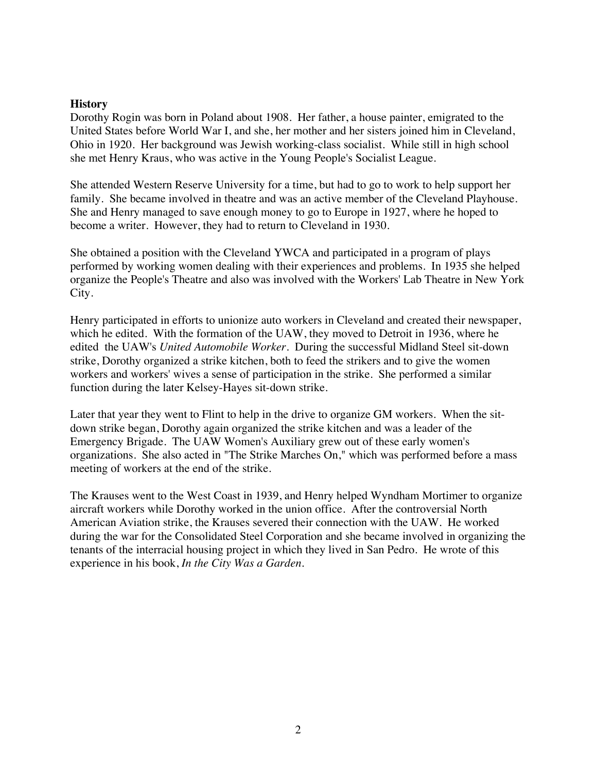### **History**

Dorothy Rogin was born in Poland about 1908. Her father, a house painter, emigrated to the United States before World War I, and she, her mother and her sisters joined him in Cleveland, Ohio in 1920. Her background was Jewish working-class socialist. While still in high school she met Henry Kraus, who was active in the Young People's Socialist League.

She attended Western Reserve University for a time, but had to go to work to help support her family. She became involved in theatre and was an active member of the Cleveland Playhouse. She and Henry managed to save enough money to go to Europe in 1927, where he hoped to become a writer. However, they had to return to Cleveland in 1930.

She obtained a position with the Cleveland YWCA and participated in a program of plays performed by working women dealing with their experiences and problems. In 1935 she helped organize the People's Theatre and also was involved with the Workers' Lab Theatre in New York City.

Henry participated in efforts to unionize auto workers in Cleveland and created their newspaper, which he edited. With the formation of the UAW, they moved to Detroit in 1936, where he edited the UAW's *United Automobile Worker*. During the successful Midland Steel sit-down strike, Dorothy organized a strike kitchen, both to feed the strikers and to give the women workers and workers' wives a sense of participation in the strike. She performed a similar function during the later Kelsey-Hayes sit-down strike.

Later that year they went to Flint to help in the drive to organize GM workers. When the sitdown strike began, Dorothy again organized the strike kitchen and was a leader of the Emergency Brigade. The UAW Women's Auxiliary grew out of these early women's organizations. She also acted in "The Strike Marches On," which was performed before a mass meeting of workers at the end of the strike.

The Krauses went to the West Coast in 1939, and Henry helped Wyndham Mortimer to organize aircraft workers while Dorothy worked in the union office. After the controversial North American Aviation strike, the Krauses severed their connection with the UAW. He worked during the war for the Consolidated Steel Corporation and she became involved in organizing the tenants of the interracial housing project in which they lived in San Pedro. He wrote of this experience in his book, *In the City Was a Garden*.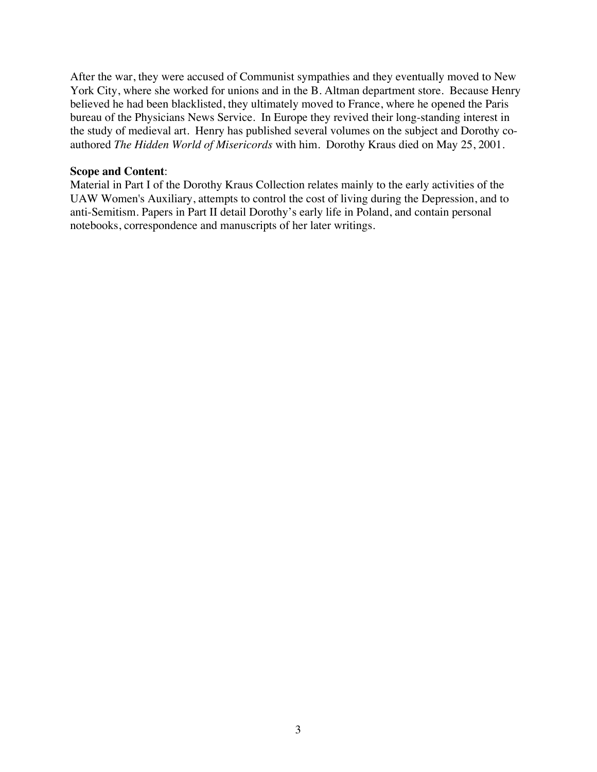After the war, they were accused of Communist sympathies and they eventually moved to New York City, where she worked for unions and in the B. Altman department store. Because Henry believed he had been blacklisted, they ultimately moved to France, where he opened the Paris bureau of the Physicians News Service. In Europe they revived their long-standing interest in the study of medieval art. Henry has published several volumes on the subject and Dorothy coauthored *The Hidden World of Misericords* with him. Dorothy Kraus died on May 25, 2001.

#### **Scope and Content**:

Material in Part I of the Dorothy Kraus Collection relates mainly to the early activities of the UAW Women's Auxiliary, attempts to control the cost of living during the Depression, and to anti-Semitism. Papers in Part II detail Dorothy's early life in Poland, and contain personal notebooks, correspondence and manuscripts of her later writings.